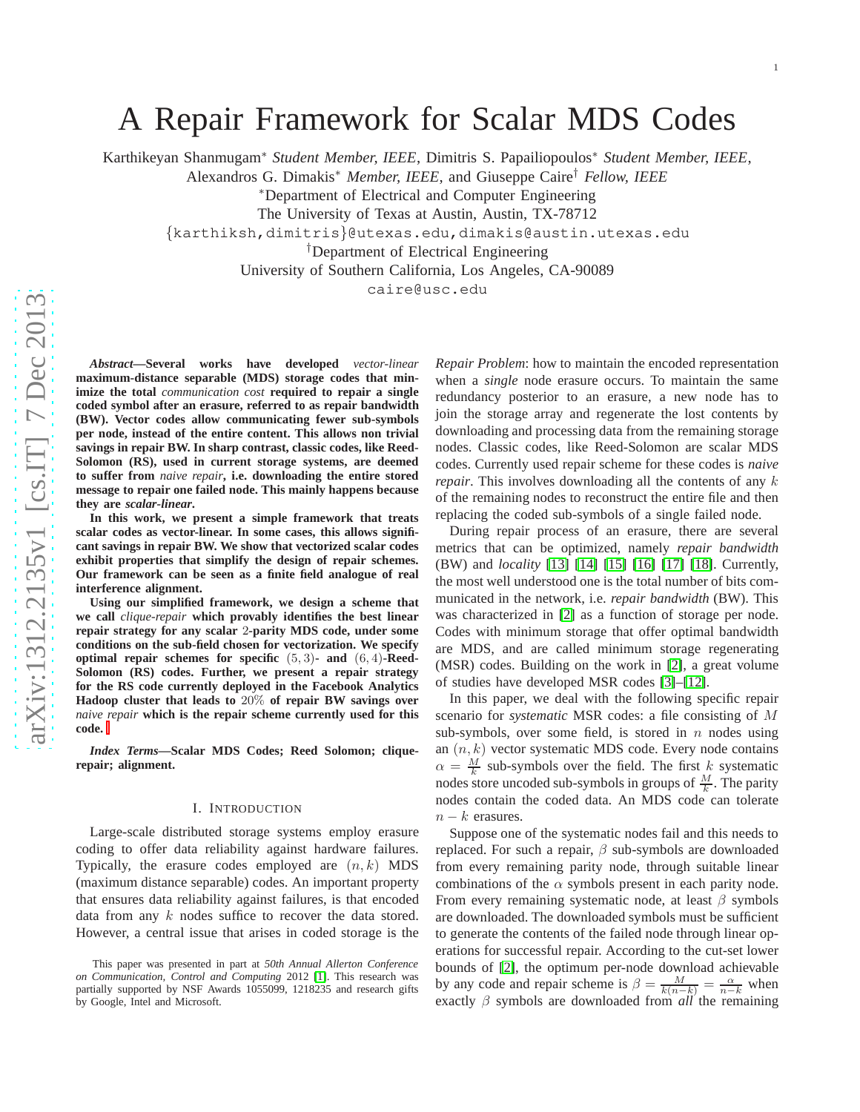# A Repair Framework for Scalar MDS Codes

Karthikeyan Shanmugam <sup>∗</sup> *Student Member, IEEE*, Dimitris S. Papailiopoulos <sup>∗</sup> *Student Member, IEEE* ,

Alexandros G. Dimakis <sup>∗</sup> *Member, IEEE*, and Giuseppe Caire † *Fellow, IEEE*

<sup>∗</sup>Department of Electrical and Computer Engineering

The University of Texas at Austin, Austin, TX-78712

{karthiksh,dimitris }@utexas.edu,dimakis@austin.utexas.edu

†Department of Electrical Engineering

University of Southern California, Los Angeles, CA-90089

caire@usc.edu

*Abstract***—Several works have developed** *vector-linear* **maximum-distance separable (MDS) storage codes that minimize the total** *communication cost* **required to repair a single coded symbol after an erasure, referred to as repair bandwidth (BW). Vector codes allow communicating fewer sub-symbols per node, instead of the entire content. This allows non trivial savings in repair BW. In sharp contrast, classic codes, like Reed-Solomon (RS), used in current storage systems, are deemed to suffer from** *naive repair***, i.e. downloading the entire stored message to repair one failed node. This mainly happens because they are** *scalar-linear* **.**

**In this work, we present a simple framework that treats scalar codes as vector-linear. In some cases, this allows significant savings in repair BW. We show that vectorized scalar codes exhibit properties that simplify the design of repair schemes. Our framework can be seen as a finite field analogue of real interference alignment.**

**Using our simplified framework, we design a scheme that we call** *clique-repair* **which provably identifies the best linear repair strategy for any scalar** 2**-parity MDS code, under some conditions on the sub-field chosen for vectorization. We specify optimal repair schemes for specific** (5 , 3)**- and** (6 , 4)**-Reed-Solomon (RS) codes. Further, we present a repair strategy for the RS code currently deployed in the Facebook Analytics Hadoop cluster that leads to** 20% **of repair BW savings over** *naive repair* **which is the repair scheme currently used for this code.**

*Index Terms***—Scalar MDS Codes; Reed Solomon; cliquerepair; alignment.**

## I. INTRODUCTION

Large-scale distributed storage systems employ erasure coding to offer data reliability against hardware failures . Typically, the erasure codes employed are  $(n, k)$  MDS (maximum distance separable) codes. An important property that ensures data reliability against failures, is that encoded data from any k nodes suffice to recover the data stored. However, a central issue that arises in coded storage is the

*Repair Problem*: how to maintain the encoded representation when a *single* node erasure occurs. To maintain the same redundancy posterior to an erasure, a new node has to join the storage array and regenerate the lost contents by downloading and processing data from the remaining storage nodes. Classic codes, like Reed-Solomon are scalar MDS codes. Currently used repair scheme for these codes is *naive repair*. This involves downloading all the contents of any k of the remaining nodes to reconstruct the entire file and then replacing the coded sub-symbols of a single failed node.

During repair process of an erasure, there are several metrics that can be optimized, namely *repair bandwidth* (BW) and *locality* [\[13\]](#page-8-0) [\[14\]](#page-8-1) [\[15\]](#page-8-2) [\[16\]](#page-8-3) [\[17\]](#page-8-4) [\[18\]](#page-8-5). Currently, the most well understood one is the total number of bits communicated in the network, i.e. *repair bandwidth* (BW). This was characterized in [\[2\]](#page-7-1) as a function of storage per node. Codes with minimum storage that offer optimal bandwidth are MDS, and are called minimum storage regenerating (MSR) codes. Building on the work in [\[2\]](#page-7-1), a great volume of studies have developed MSR codes [\[3\]](#page-8-6)–[\[12\]](#page-8-7).

In this paper, we deal with the following specific repair scenario for *systematic* MSR codes: a file consisting of M sub-symbols, over some field, is stored in  $n$  nodes using an  $(n, k)$  vector systematic MDS code. Every node contains  $\alpha = \frac{M}{k}$  sub-symbols over the field. The first k systematic nodes store uncoded sub-symbols in groups of  $\frac{M}{k}$ . The parity nodes contain the coded data. An MDS code can tolerate  $n - k$  erasures.

Suppose one of the systematic nodes fail and this needs to replaced. For such a repair,  $\beta$  sub-symbols are downloaded from every remaining parity node, through suitable linear combinations of the  $\alpha$  symbols present in each parity node. From every remaining systematic node, at least  $\beta$  symbols are downloaded. The downloaded symbols must be sufficient to generate the contents of the failed node through linear op erations for successful repair. According to the cut-set lower bounds of [\[2\]](#page-7-1), the optimum per-node download achievable by any code and repair scheme is  $\beta = \frac{M}{k(n-k)} = \frac{\alpha}{n-k}$  when exactly β symbols are downloaded from *all* the remaining

This paper was presented in part at *50th Annual Allerton Conference on Communication, Control and Computing* 2012 [\[1\]](#page-7-0). This research was partially supported by NSF Awards 1055099, 1218235 and research gifts by Google, Intel and Microsoft.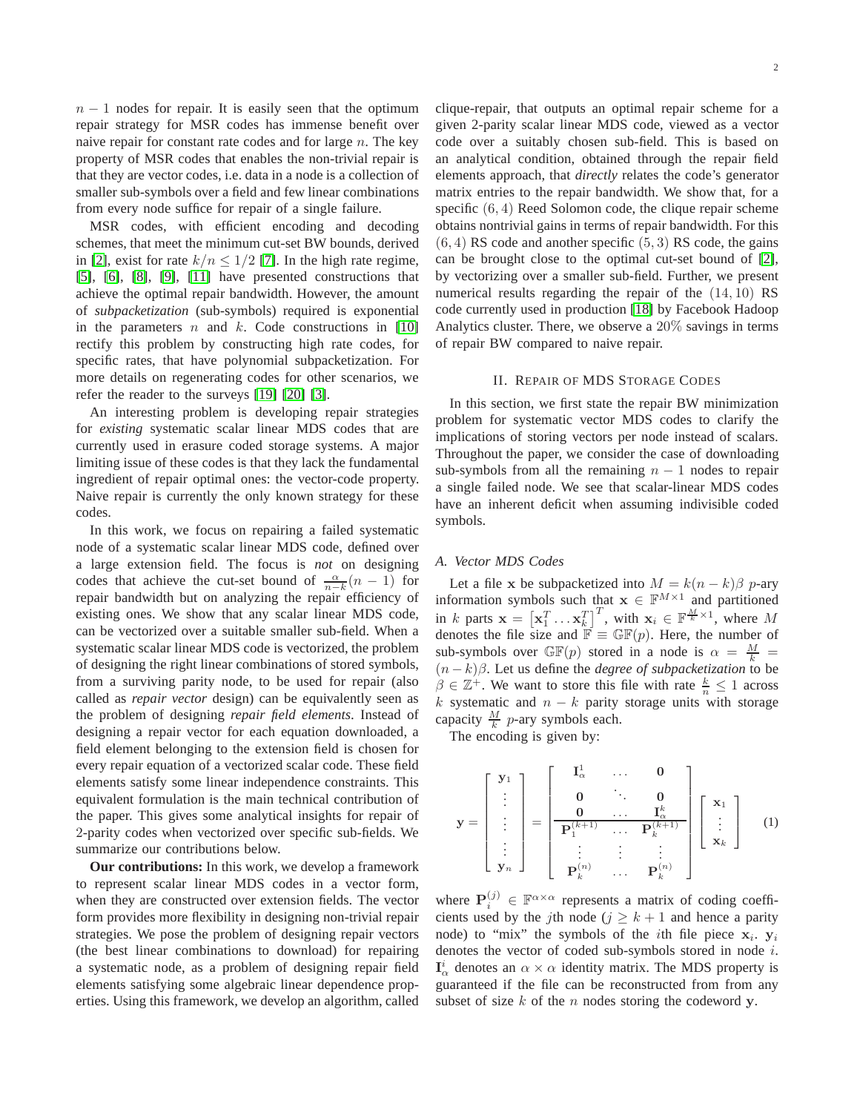$n - 1$  nodes for repair. It is easily seen that the optimum repair strategy for MSR codes has immense benefit over naive repair for constant rate codes and for large  $n$ . The key property of MSR codes that enables the non-trivial repair is that they are vector codes, i.e. data in a node is a collection of smaller sub-symbols over a field and few linear combinations from every node suffice for repair of a single failure.

MSR codes, with efficient encoding and decoding schemes, that meet the minimum cut-set BW bounds, derived in [\[2\]](#page-7-1), exist for rate  $k/n \leq 1/2$  [\[7\]](#page-8-8). In the high rate regime, [\[5\]](#page-8-9), [\[6\]](#page-8-10), [\[8\]](#page-8-11), [\[9\]](#page-8-12), [\[11\]](#page-8-13) have presented constructions that achieve the optimal repair bandwidth. However, the amount of *subpacketization* (sub-symbols) required is exponential in the parameters  $n$  and  $k$ . Code constructions in [\[10\]](#page-8-14) rectify this problem by constructing high rate codes, for specific rates, that have polynomial subpacketization. For more details on regenerating codes for other scenarios, we refer the reader to the surveys [\[19\]](#page-8-15) [\[20\]](#page-8-16) [\[3\]](#page-8-6).

An interesting problem is developing repair strategies for *existing* systematic scalar linear MDS codes that are currently used in erasure coded storage systems. A major limiting issue of these codes is that they lack the fundamental ingredient of repair optimal ones: the vector-code property. Naive repair is currently the only known strategy for these codes.

In this work, we focus on repairing a failed systematic node of a systematic scalar linear MDS code, defined over a large extension field. The focus is *not* on designing codes that achieve the cut-set bound of  $\frac{\alpha}{n-k}(n-1)$  for repair bandwidth but on analyzing the repair efficiency of existing ones. We show that any scalar linear MDS code, can be vectorized over a suitable smaller sub-field. When a systematic scalar linear MDS code is vectorized, the problem of designing the right linear combinations of stored symbols, from a surviving parity node, to be used for repair (also called as *repair vector* design) can be equivalently seen as the problem of designing *repair field elements*. Instead of designing a repair vector for each equation downloaded, a field element belonging to the extension field is chosen for every repair equation of a vectorized scalar code. These field elements satisfy some linear independence constraints. This equivalent formulation is the main technical contribution of the paper. This gives some analytical insights for repair of 2-parity codes when vectorized over specific sub-fields. We summarize our contributions below.

**Our contributions:** In this work, we develop a framework to represent scalar linear MDS codes in a vector form, when they are constructed over extension fields. The vector form provides more flexibility in designing non-trivial repair strategies. We pose the problem of designing repair vectors (the best linear combinations to download) for repairing a systematic node, as a problem of designing repair field elements satisfying some algebraic linear dependence properties. Using this framework, we develop an algorithm, called

clique-repair, that outputs an optimal repair scheme for a given 2-parity scalar linear MDS code, viewed as a vector code over a suitably chosen sub-field. This is based on an analytical condition, obtained through the repair field elements approach, that *directly* relates the code's generator matrix entries to the repair bandwidth. We show that, for a specific  $(6, 4)$  Reed Solomon code, the clique repair scheme obtains nontrivial gains in terms of repair bandwidth. For this  $(6, 4)$  RS code and another specific  $(5, 3)$  RS code, the gains can be brought close to the optimal cut-set bound of [\[2\]](#page-7-1), by vectorizing over a smaller sub-field. Further, we present numerical results regarding the repair of the  $(14, 10)$  RS code currently used in production [\[18\]](#page-8-5) by Facebook Hadoop Analytics cluster. There, we observe a 20% savings in terms of repair BW compared to naive repair.

## II. REPAIR OF MDS STORAGE CODES

In this section, we first state the repair BW minimization problem for systematic vector MDS codes to clarify the implications of storing vectors per node instead of scalars. Throughout the paper, we consider the case of downloading sub-symbols from all the remaining  $n - 1$  nodes to repair a single failed node. We see that scalar-linear MDS codes have an inherent deficit when assuming indivisible coded symbols.

## <span id="page-1-1"></span>*A. Vector MDS Codes*

Let a file x be subpacketized into  $M = k(n - k)\beta$  p-ary information symbols such that  $\mathbf{x} \in \mathbb{F}^{M \times 1}$  and partitioned in k parts  $\mathbf{x} = \begin{bmatrix} \mathbf{x}_1^T \dots \mathbf{x}_k^T \end{bmatrix}^T$ , with  $\mathbf{x}_i \in \mathbb{F}_k^{\frac{M}{k} \times 1}$ , where M denotes the file size and  $\mathbb{F} \equiv \mathbb{GF}(p)$ . Here, the number of sub-symbols over  $\mathbb{GF}(p)$  stored in a node is  $\alpha = \frac{M}{k}$  = (n − k)β. Let us define the *degree of subpacketization* to be  $\beta \in \mathbb{Z}^+$ . We want to store this file with rate  $\frac{k}{n} \leq 1$  across k systematic and  $n - k$  parity storage units with storage capacity  $\frac{M}{k}$  *p*-ary symbols each.

The encoding is given by:

<span id="page-1-0"></span>
$$
\mathbf{y} = \begin{bmatrix} \mathbf{y}_1 \\ \vdots \\ \mathbf{y}_n \end{bmatrix} = \begin{bmatrix} \mathbf{I}_{\alpha}^1 & \dots & \mathbf{0} \\ \mathbf{0} & \ddots & \mathbf{0} \\ \hline \mathbf{P}_1^{(k+1)} & \dots & \mathbf{P}_k^{(k+1)} \\ \vdots & \vdots & \vdots \\ \mathbf{P}_k^{(n)} & \dots & \mathbf{P}_k^{(n)} \end{bmatrix} \begin{bmatrix} \mathbf{x}_1 \\ \vdots \\ \mathbf{x}_k \end{bmatrix}
$$
 (1)

where  $P_i^{(j)} \in \mathbb{F}^{\alpha \times \alpha}$  represents a matrix of coding coefficients used by the jth node ( $j \geq k+1$  and hence a parity node) to "mix" the symbols of the *i*th file piece  $x_i$ .  $y_i$ denotes the vector of coded sub-symbols stored in node i.  $I^i_\alpha$  denotes an  $\alpha \times \alpha$  identity matrix. The MDS property is guaranteed if the file can be reconstructed from from any subset of size  $k$  of the n nodes storing the codeword y.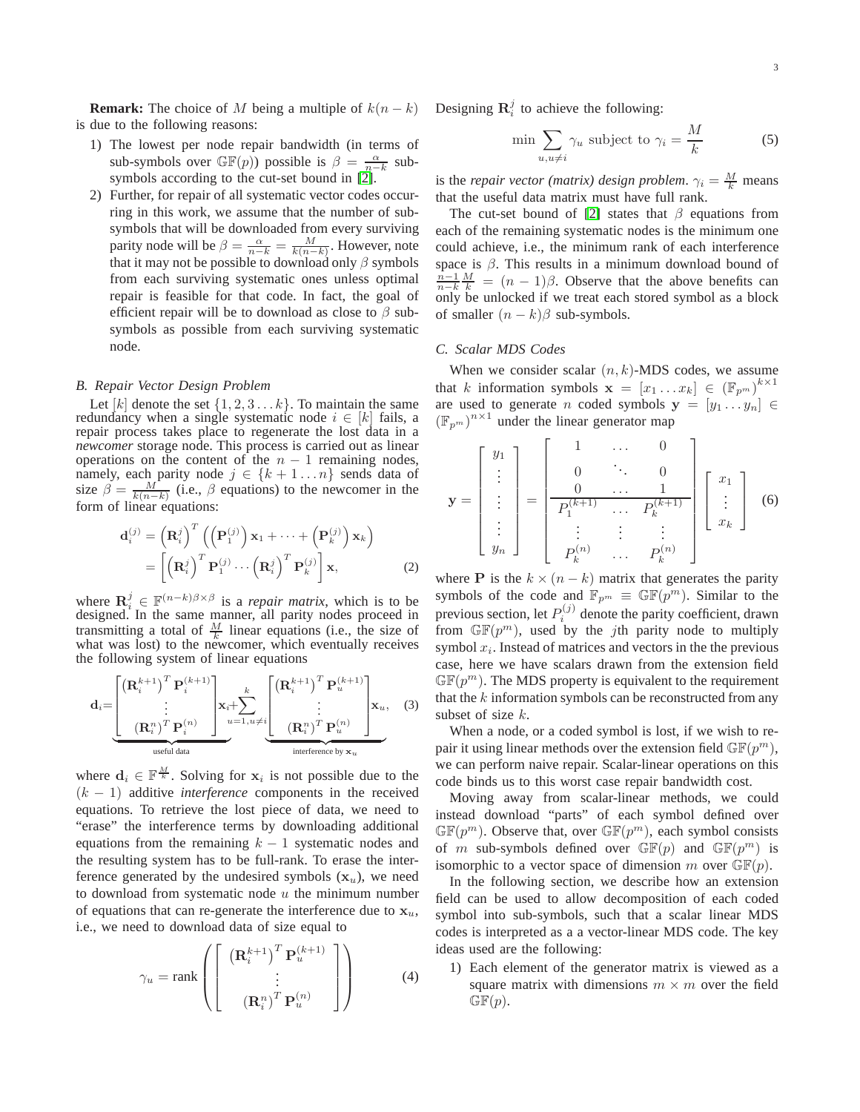**Remark:** The choice of M being a multiple of  $k(n - k)$ is due to the following reasons:

- 1) The lowest per node repair bandwidth (in terms of sub-symbols over  $\mathbb{GF}(p)$ ) possible is  $\beta = \frac{\alpha}{n-k}$  subsymbols according to the cut-set bound in [\[2\]](#page-7-1).
- 2) Further, for repair of all systematic vector codes occurring in this work, we assume that the number of subsymbols that will be downloaded from every surviving parity node will be  $\beta = \frac{\alpha}{n-k} = \frac{M}{k(n-k)}$ . However, note that it may not be possible to download only  $\beta$  symbols from each surviving systematic ones unless optimal repair is feasible for that code. In fact, the goal of efficient repair will be to download as close to  $\beta$  subsymbols as possible from each surviving systematic node.

### *B. Repair Vector Design Problem*

Let [k] denote the set  $\{1, 2, 3, \ldots k\}$ . To maintain the same redundancy when a single systematic node  $i \in [k]$  fails, a repair process takes place to regenerate the lost data in a *newcomer* storage node. This process is carried out as linear operations on the content of the  $n - 1$  remaining nodes, namely, each parity node  $j \in \{k+1...n\}$  sends data of size  $\beta = \frac{M}{k(n-k)}$  (i.e.,  $\beta$  equations) to the newcomer in the form of linear equations:

$$
\mathbf{d}_{i}^{(j)} = \left(\mathbf{R}_{i}^{j}\right)^{T} \left(\left(\mathbf{P}_{1}^{(j)}\right)\mathbf{x}_{1} + \dots + \left(\mathbf{P}_{k}^{(j)}\right)\mathbf{x}_{k}\right)
$$

$$
= \left[\left(\mathbf{R}_{i}^{j}\right)^{T}\mathbf{P}_{1}^{(j)} \cdots \left(\mathbf{R}_{i}^{j}\right)^{T}\mathbf{P}_{k}^{(j)}\right]\mathbf{x}, \tag{2}
$$

where  $\mathbf{R}_i^j \in \mathbb{F}^{(n-k)\beta \times \beta}$  is a *repair matrix*, which is to be designed. In the same manner, all parity nodes proceed in transmitting a total of  $\frac{M}{k}$  linear equations (i.e., the size of what was lost) to the newcomer, which eventually receives the following system of linear equations

$$
\mathbf{d}_{i} = \underbrace{\begin{bmatrix} \left(\mathbf{R}_{i}^{k+1}\right)^{T} \mathbf{P}_{i}^{(k+1)} \\ \vdots \\ \left(\mathbf{R}_{i}^{n}\right)^{T} \mathbf{P}_{i}^{(n)} \end{bmatrix}}_{\text{useful data}} \mathbf{x}_{i} + \sum_{u=1, u \neq i}^{k} \underbrace{\begin{bmatrix} \left(\mathbf{R}_{i}^{k+1}\right)^{T} \mathbf{P}_{u}^{(k+1)} \\ \vdots \\ \left(\mathbf{R}_{i}^{n}\right)^{T} \mathbf{P}_{u}^{(n)} \end{bmatrix}}_{\text{interference by } \mathbf{x}_{u}} \mathbf{x}_{u}, \quad (3)
$$

where  $d_i \in \mathbb{F}^{\frac{M}{k}}$ . Solving for  $x_i$  is not possible due to the  $(k - 1)$  additive *interference* components in the received equations. To retrieve the lost piece of data, we need to "erase" the interference terms by downloading additional equations from the remaining  $k - 1$  systematic nodes and the resulting system has to be full-rank. To erase the interference generated by the undesired symbols  $(x_u)$ , we need to download from systematic node  $u$  the minimum number of equations that can re-generate the interference due to  $x_u$ , i.e., we need to download data of size equal to

<span id="page-2-2"></span>
$$
\gamma_u = \text{rank}\left(\left[\begin{array}{c} \left(\mathbf{R}_i^{k+1}\right)^T \mathbf{P}_u^{(k+1)} \\ \vdots \\ \left(\mathbf{R}_i^n\right)^T \mathbf{P}_u^{(n)} \end{array}\right]\right) \tag{4}
$$

Designing  $\mathbf{R}_i^j$  to achieve the following:

<span id="page-2-1"></span>
$$
\min \sum_{u,u \neq i} \gamma_u \text{ subject to } \gamma_i = \frac{M}{k} \tag{5}
$$

is the *repair vector (matrix) design problem.*  $\gamma_i = \frac{M}{k}$  means that the useful data matrix must have full rank.

The cut-set bound of [\[2\]](#page-7-1) states that  $\beta$  equations from each of the remaining systematic nodes is the minimum one could achieve, i.e., the minimum rank of each interference space is  $\beta$ . This results in a minimum download bound of  $\frac{n-1}{n-k} \frac{M}{k} = (n-1)\beta$ . Observe that the above benefits can only be unlocked if we treat each stored symbol as a block of smaller  $(n - k)\beta$  sub-symbols.

## *C. Scalar MDS Codes*

When we consider scalar  $(n, k)$ -MDS codes, we assume that k information symbols  $\mathbf{x} = [x_1 \dots x_k] \in (\mathbb{F}_{p^m})^{k \times 1}$ are used to generate *n* coded symbols  $y = [y_1 \dots y_n] \in$  $\left(\mathbb{F}_{p^m}\right)^{n\times 1}$  under the linear generator map

<span id="page-2-0"></span>
$$
\mathbf{y} = \begin{bmatrix} y_1 \\ \vdots \\ \vdots \\ y_n \end{bmatrix} = \begin{bmatrix} 1 & \dots & 0 \\ 0 & \ddots & 0 \\ 0 & \dots & 1 \\ P_1^{(k+1)} & \dots & P_k^{(k+1)} \\ \vdots & \vdots & \vdots \\ P_k^{(n)} & \dots & P_k^{(n)} \end{bmatrix} \begin{bmatrix} x_1 \\ \vdots \\ x_k \end{bmatrix}
$$
 (6)

where **P** is the  $k \times (n - k)$  matrix that generates the parity symbols of the code and  $\mathbb{F}_{p^m} \equiv \mathbb{GF}(p^m)$ . Similar to the previous section, let  $P_i^{(j)}$  denote the parity coefficient, drawn from  $\mathbb{GF}(p^m)$ , used by the *j*th parity node to multiply symbol  $x_i$ . Instead of matrices and vectors in the the previous case, here we have scalars drawn from the extension field  $\mathbb{GF}(p^m)$ . The MDS property is equivalent to the requirement that the  $k$  information symbols can be reconstructed from any subset of size  $k$ .

<span id="page-2-3"></span>When a node, or a coded symbol is lost, if we wish to repair it using linear methods over the extension field  $\mathbb{GF}(p^m)$ , we can perform naive repair. Scalar-linear operations on this code binds us to this worst case repair bandwidth cost.

Moving away from scalar-linear methods, we could instead download "parts" of each symbol defined over  $\mathbb{GF}(p^m)$ . Observe that, over  $\mathbb{GF}(p^m)$ , each symbol consists of m sub-symbols defined over  $\mathbb{GF}(p)$  and  $\mathbb{GF}(p^m)$  is isomorphic to a vector space of dimension m over  $\mathbb{GF}(p)$ .

In the following section, we describe how an extension field can be used to allow decomposition of each coded symbol into sub-symbols, such that a scalar linear MDS codes is interpreted as a a vector-linear MDS code. The key ideas used are the following:

1) Each element of the generator matrix is viewed as a square matrix with dimensions  $m \times m$  over the field  $\mathbb{GF}(p).$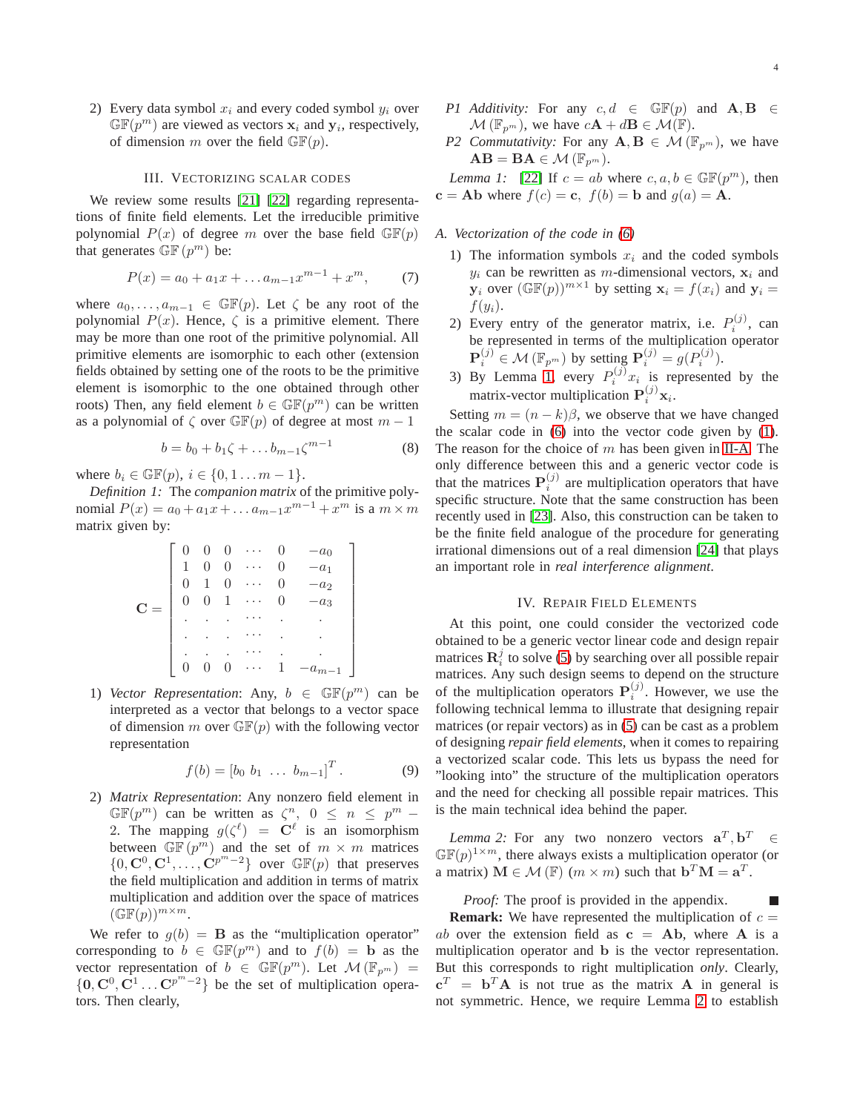2) Every data symbol  $x_i$  and every coded symbol  $y_i$  over  $\mathbb{GF}(p^m)$  are viewed as vectors  $x_i$  and  $y_i$ , respectively, of dimension m over the field  $\mathbb{GF}(p)$ .

## III. VECTORIZING SCALAR CODES

We review some results [\[21\]](#page-8-17) [\[22\]](#page-8-18) regarding representations of finite field elements. Let the irreducible primitive polynomial  $P(x)$  of degree m over the base field  $\mathbb{GF}(p)$ that generates  $\mathbb{GF}(p^m)$  be:

$$
P(x) = a_0 + a_1 x + \dots + a_{m-1} x^{m-1} + x^m, \tag{7}
$$

where  $a_0, \ldots, a_{m-1} \in \mathbb{GF}(p)$ . Let  $\zeta$  be any root of the polynomial  $P(x)$ . Hence,  $\zeta$  is a primitive element. There may be more than one root of the primitive polynomial. All primitive elements are isomorphic to each other (extension fields obtained by setting one of the roots to be the primitive element is isomorphic to the one obtained through other roots) Then, any field element  $b \in \mathbb{GF}(p^m)$  can be written as a polynomial of  $\zeta$  over  $\mathbb{GF}(p)$  of degree at most  $m-1$ 

$$
b = b_0 + b_1 \zeta + \dots b_{m-1} \zeta^{m-1}
$$
 (8)

where  $b_i \in \mathbb{GF}(p)$ ,  $i \in \{0, 1, ..., m-1\}$ .

*Definition 1:* The *companion matrix* of the primitive polynomial  $P(x) = a_0 + a_1 x + \dots + a_{m-1} x^{m-1} + x^m$  is a  $m \times m$ matrix given by:

$$
\mathbf{C} = \left[ \begin{array}{cccccc} 0 & 0 & 0 & \cdots & 0 & -a_0 \\ 1 & 0 & 0 & \cdots & 0 & -a_1 \\ 0 & 1 & 0 & \cdots & 0 & -a_2 \\ 0 & 0 & 1 & \cdots & 0 & -a_3 \\ \vdots & \vdots & \ddots & \ddots & \vdots & \vdots \\ 0 & 0 & 0 & \cdots & 1 & -a_{m-1} \end{array} \right]
$$

1) *Vector Representation*: Any,  $b \in \mathbb{GF}(p^m)$  can be interpreted as a vector that belongs to a vector space of dimension m over  $\mathbb{GF}(p)$  with the following vector representation

$$
f(b) = [b_0 \ b_1 \ \dots \ b_{m-1}]^T. \tag{9}
$$

2) *Matrix Representation*: Any nonzero field element in  $\mathbb{GF}(p^m)$  can be written as  $\zeta^n$ ,  $0 \leq n \leq p^m$  – 2. The mapping  $g(\zeta^{\ell}) = \mathbf{C}^{\ell}$  is an isomorphism between  $\mathbb{GF}(p^m)$  and the set of  $m \times m$  matrices  $\{0, \mathbf{C}^0, \mathbf{C}^1, \ldots, \mathbf{C}^{p^m-2}\}\$  over  $\mathbb{GF}(p)$  that preserves the field multiplication and addition in terms of matrix multiplication and addition over the space of matrices  $(\mathbb{GF}(p))^{m \times m}$ .

We refer to  $g(b) = \mathbf{B}$  as the "multiplication operator" corresponding to  $b \in \mathbb{GF}(p^m)$  and to  $f(b) = b$  as the vector representation of  $b \in \mathbb{GF}(p^m)$ . Let  $\mathcal{M}(\mathbb{F}_{p^m}) =$  ${0, \mathbf{C}^0, \mathbf{C}^1 \dots \mathbf{C}^{p^m-2}}$  be the set of multiplication operators. Then clearly,

- *P1 Additivity:* For any  $c, d \in \mathbb{GF}(p)$  and  $\mathbf{A}, \mathbf{B} \in$  $\mathcal{M}(\mathbb{F}_{p^m})$ , we have  $c\mathbf{A} + d\mathbf{B} \in \mathcal{M}(\mathbb{F})$ .
- *P2 Commutativity:* For any  $A, B \in \mathcal{M}(\mathbb{F}_{p^m})$ , we have  $AB = BA \in \mathcal{M}(\mathbb{F}_{p^m}).$

<span id="page-3-0"></span>*Lemma 1:* [\[22\]](#page-8-18) If  $c = ab$  where  $c, a, b \in \mathbb{GF}(p^m)$ , then  $c = Ab$  where  $f(c) = c$ ,  $f(b) = b$  and  $g(a) = A$ .

## *A. Vectorization of the code in [\(6\)](#page-2-0)*

- 1) The information symbols  $x_i$  and the coded symbols  $y_i$  can be rewritten as m-dimensional vectors,  $x_i$  and  $y_i$  over  $(\mathbb{GF}(p))^{m \times 1}$  by setting  $x_i = f(x_i)$  and  $y_i =$  $f(y_i)$ .
- 2) Every entry of the generator matrix, i.e.  $P_i^{(j)}$ , can be represented in terms of the multiplication operator  $\mathbf{P}_{i}^{(j)} \in \mathcal{M}(\mathbb{F}_{p^m})$  by setting  $\mathbf{P}_{i}^{(j)} = g(P_{i}^{(j)})$ .
- 3) By Lemma [1,](#page-3-0) every  $P_i^{(j)}x_i$  is represented by the matrix-vector multiplication  $P_i^{(j)}\mathbf{x}_i$ .

Setting  $m = (n - k)\beta$ , we observe that we have changed the scalar code in [\(6\)](#page-2-0) into the vector code given by [\(1\)](#page-1-0). The reason for the choice of  $m$  has been given in [II-A.](#page-1-1) The only difference between this and a generic vector code is that the matrices  $P_i^{(j)}$  are multiplication operators that have specific structure. Note that the same construction has been recently used in [\[23\]](#page-8-19). Also, this construction can be taken to be the finite field analogue of the procedure for generating irrational dimensions out of a real dimension [\[24\]](#page-8-20) that plays an important role in *real interference alignment*.

#### IV. REPAIR FIELD ELEMENTS

At this point, one could consider the vectorized code obtained to be a generic vector linear code and design repair matrices  $\mathbf{R}_i^j$  to solve [\(5\)](#page-2-1) by searching over all possible repair matrices. Any such design seems to depend on the structure of the multiplication operators  $P_i^{(j)}$ . However, we use the following technical lemma to illustrate that designing repair matrices (or repair vectors) as in [\(5\)](#page-2-1) can be cast as a problem of designing *repair field elements*, when it comes to repairing a vectorized scalar code. This lets us bypass the need for "looking into" the structure of the multiplication operators and the need for checking all possible repair matrices. This is the main technical idea behind the paper.

<span id="page-3-1"></span>*Lemma 2:* For any two nonzero vectors  $\mathbf{a}^T, \mathbf{b}^T \in$  $\mathbb{GF}(p)^{1 \times m}$ , there always exists a multiplication operator (or a matrix)  $M \in \mathcal{M}(\mathbb{F})$   $(m \times m)$  such that  $\mathbf{b}^T \mathbf{M} = \mathbf{a}^T$ .

*Proof:* The proof is provided in the appendix. П **Remark:** We have represented the multiplication of  $c =$ ab over the extension field as  $c = Ab$ , where A is a multiplication operator and b is the vector representation. But this corresponds to right multiplication *only*. Clearly,  ${\bf c}^T$  =  ${\bf b}^T {\bf A}$  is not true as the matrix **A** in general is not symmetric. Hence, we require Lemma [2](#page-3-1) to establish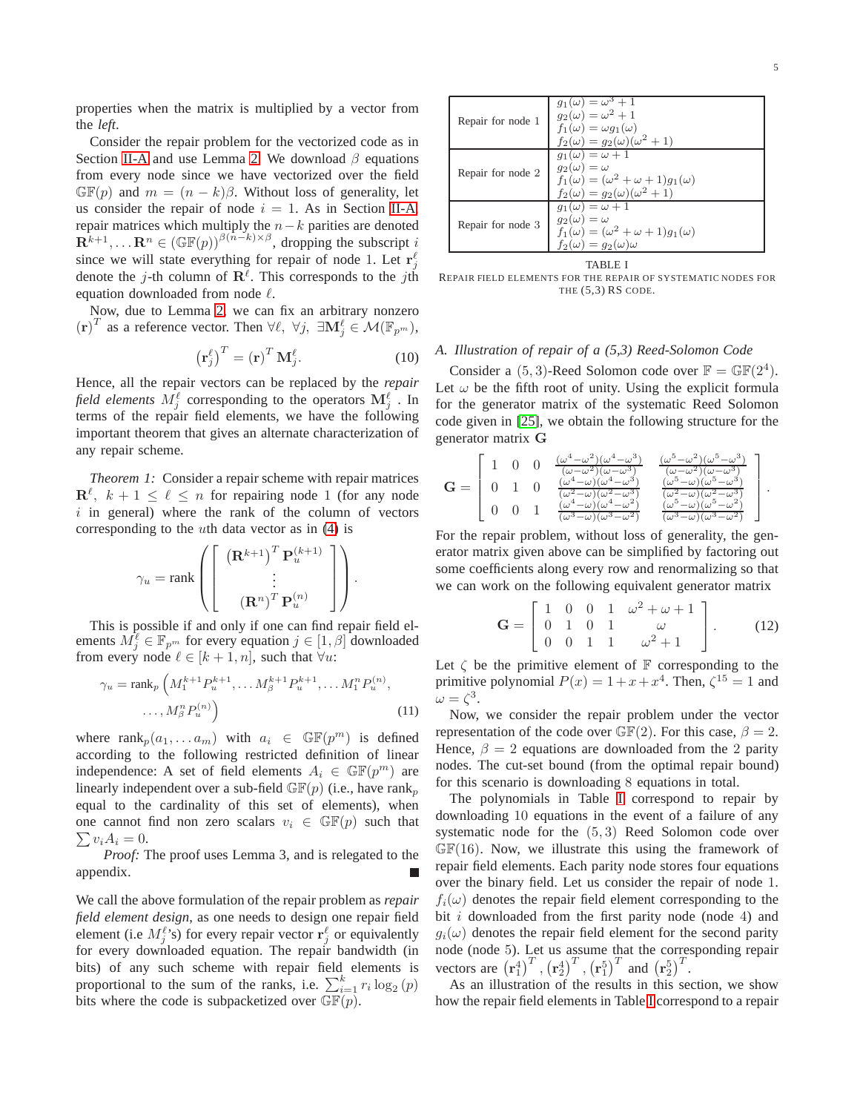properties when the matrix is multiplied by a vector from the *left*.

Consider the repair problem for the vectorized code as in Section [II-A](#page-1-1) and use Lemma [2.](#page-3-1) We download  $\beta$  equations from every node since we have vectorized over the field  $\mathbb{GF}(p)$  and  $m = (n - k)\beta$ . Without loss of generality, let us consider the repair of node  $i = 1$ . As in Section [II-A,](#page-1-1) repair matrices which multiply the  $n-k$  parities are denoted  $\mathbf{R}^{k+1}, \dots \mathbf{R}^n \in (\mathbb{GF}(p))^{\beta(n-k)\times \beta}$ , dropping the subscript i since we will state everything for repair of node 1. Let  $\mathbf{r}_j^{\ell}$ denote the j-th column of  $\mathbf{R}^{\ell}$ . This corresponds to the jth equation downloaded from node ℓ.

Now, due to Lemma [2,](#page-3-1) we can fix an arbitrary nonzero  $(\mathbf{r})^T$  as a reference vector. Then  $\forall \ell, \forall j, \exists \mathbf{M}^{\ell} \in \mathcal{M}(\mathbb{F}_{p^m}),$ 

<span id="page-4-4"></span>
$$
\left(\mathbf{r}_{j}^{\ell}\right)^{T} = \left(\mathbf{r}\right)^{T} \mathbf{M}_{j}^{\ell}.\tag{10}
$$

Hence, all the repair vectors can be replaced by the *repair* field elements  $M_j^\ell$  corresponding to the operators  $\mathbf{M}_j^\ell$  . In terms of the repair field elements, we have the following important theorem that gives an alternate characterization of any repair scheme.

<span id="page-4-1"></span>*Theorem 1:* Consider a repair scheme with repair matrices  $\mathbf{R}^{\ell}$ ,  $k+1 \leq \ell \leq n$  for repairing node 1 (for any node  $i$  in general) where the rank of the column of vectors corresponding to the uth data vector as in [\(4\)](#page-2-2) is

$$
\gamma_u = \text{rank}\left(\left[\begin{array}{c} \left(\mathbf{R}^{k+1}\right)^T \mathbf{P}_u^{(k+1)} \\ \vdots \\ \left(\mathbf{R}^n\right)^T \mathbf{P}_u^{(n)} \end{array}\right]\right).
$$

This is possible if and only if one can find repair field elements  $M_j^{\ell} \in \mathbb{F}_{p^m}$  for every equation  $j \in [1, \beta]$  downloaded from every node  $\ell \in [k+1, n]$ , such that  $\forall u$ :

$$
\gamma_u = \operatorname{rank}_p \left( M_1^{k+1} P_u^{k+1}, \dots M_\beta^{k+1} P_u^{k+1}, \dots M_1^n P_u^{(n)}, \dots, M_\beta^n P_u^{(n)} \right)
$$
\n
$$
\dots, M_\beta^n P_u^{(n)} \right) \tag{11}
$$

where  $\text{rank}_p(a_1, \ldots a_m)$  with  $a_i \in \mathbb{GF}(p^m)$  is defined according to the following restricted definition of linear independence: A set of field elements  $A_i \in \mathbb{GF}(p^m)$  are linearly independent over a sub-field  $\mathbb{GF}(p)$  (i.e., have rank<sub>p</sub> equal to the cardinality of this set of elements), when  $\sum v_i A_i = 0.$ one cannot find non zero scalars  $v_i \in \mathbb{GF}(p)$  such that

*Proof:* The proof uses Lemma 3, and is relegated to the appendix.

We call the above formulation of the repair problem as *repair field element design*, as one needs to design one repair field element (i.e  $M_j^{\ell}$ 's) for every repair vector  $\mathbf{r}_j^{\ell}$  or equivalently for every downloaded equation. The repair bandwidth (in bits) of any such scheme with repair field elements is proportional to the sum of the ranks, i.e.  $\sum_{i=1}^{k} r_i \log_2(p)$ bits where the code is subpacketized over  $\mathbb{GF}(p)$ .

| Repair for node 1 | $g_1(\omega) = \omega^3 + 1$<br>$g_2(\omega) = \omega^2 + 1$<br>$f_1(\omega) = \omega q_1(\omega)$<br>$f_2(\omega) = q_2(\omega)(\omega^2 + 1)$         |  |
|-------------------|---------------------------------------------------------------------------------------------------------------------------------------------------------|--|
| Repair for node 2 | $q_1(\omega) = \omega + 1$<br>$q_2(\omega) = \omega$<br>$f_1(\omega) = (\omega^2 + \omega + 1)g_1(\omega)$<br>$f_2(\omega) = g_2(\omega)(\omega^2 + 1)$ |  |
| Repair for node 3 | $q_1(\omega) = \omega + 1$<br>$q_2(\omega) = \omega$<br>$f_1(\omega) = (\omega^2 + \omega + 1)g_1(\omega)$<br>$f_2(\omega) = q_2(\omega)\omega$         |  |
| TABLE I           |                                                                                                                                                         |  |

<span id="page-4-0"></span>REPAIR FIELD ELEMENTS FOR THE REPAIR OF SYSTEMATIC NODES FOR THE  $(5,3)$  RS CODE.

# <span id="page-4-3"></span>*A. Illustration of repair of a (5,3) Reed-Solomon Code*

Consider a  $(5,3)$ -Reed Solomon code over  $\mathbb{F} = \mathbb{GF}(2^4)$ . Let  $\omega$  be the fifth root of unity. Using the explicit formula for the generator matrix of the systematic Reed Solomon code given in [\[25\]](#page-8-21), we obtain the following structure for the generator matrix G

$$
\mathbf{G} = \left[ \begin{array}{cccc} 1 & 0 & 0 & \frac{(\omega^4 - \omega^2)(\omega^4 - \omega^3)}{(\omega - \omega^2)(\omega - \omega^3)} & \frac{(\omega^5 - \omega^2)(\omega^5 - \omega^3)}{(\omega - \omega^2)(\omega - \omega^3)} \\ 0 & 1 & 0 & \frac{(\omega^4 - \omega)(\omega^4 - \omega^3)}{(\omega^2 - \omega)(\omega^2 - \omega^3)} & \frac{(\omega^5 - \omega)(\omega^5 - \omega^3)}{(\omega^2 - \omega)(\omega^5 - \omega^3)} \\ 0 & 0 & 1 & \frac{(\omega^4 - \omega)(\omega^4 - \omega^2)}{(\omega^3 - \omega)(\omega^3 - \omega^2)} & \frac{(\omega^5 - \omega)(\omega^5 - \omega^2)}{(\omega^3 - \omega)(\omega^3 - \omega^2)} \end{array} \right].
$$

For the repair problem, without loss of generality, the generator matrix given above can be simplified by factoring out some coefficients along every row and renormalizing so that we can work on the following equivalent generator matrix

$$
\mathbf{G} = \begin{bmatrix} 1 & 0 & 0 & 1 & \omega^2 + \omega + 1 \\ 0 & 1 & 0 & 1 & \omega \\ 0 & 0 & 1 & 1 & \omega^2 + 1 \end{bmatrix} . \tag{12}
$$

Let  $\zeta$  be the primitive element of  $\mathbb F$  corresponding to the primitive polynomial  $P(x) = 1 + x + x^4$ . Then,  $\zeta^{15} = 1$  and  $\omega = \zeta^3$ .

<span id="page-4-2"></span>Now, we consider the repair problem under the vector representation of the code over  $\mathbb{GF}(2)$ . For this case,  $\beta = 2$ . Hence,  $\beta = 2$  equations are downloaded from the 2 parity nodes. The cut-set bound (from the optimal repair bound) for this scenario is downloading 8 equations in total.

The polynomials in Table [I](#page-4-0) correspond to repair by downloading 10 equations in the event of a failure of any systematic node for the (5, 3) Reed Solomon code over  $\mathbb{GF}(16)$ . Now, we illustrate this using the framework of repair field elements. Each parity node stores four equations over the binary field. Let us consider the repair of node 1.  $f_i(\omega)$  denotes the repair field element corresponding to the bit  $i$  downloaded from the first parity node (node 4) and  $g_i(\omega)$  denotes the repair field element for the second parity node (node 5). Let us assume that the corresponding repair vectors are  $\left(\mathbf{r}_1^4\right)^T$ ,  $\left(\mathbf{r}_2^4\right)^T$ ,  $\left(\mathbf{r}_1^5\right)^T$  and  $\left(\mathbf{r}_2^5\right)^T$ .

As an illustration of the results in this section, we show how the repair field elements in Table [I](#page-4-0) correspond to a repair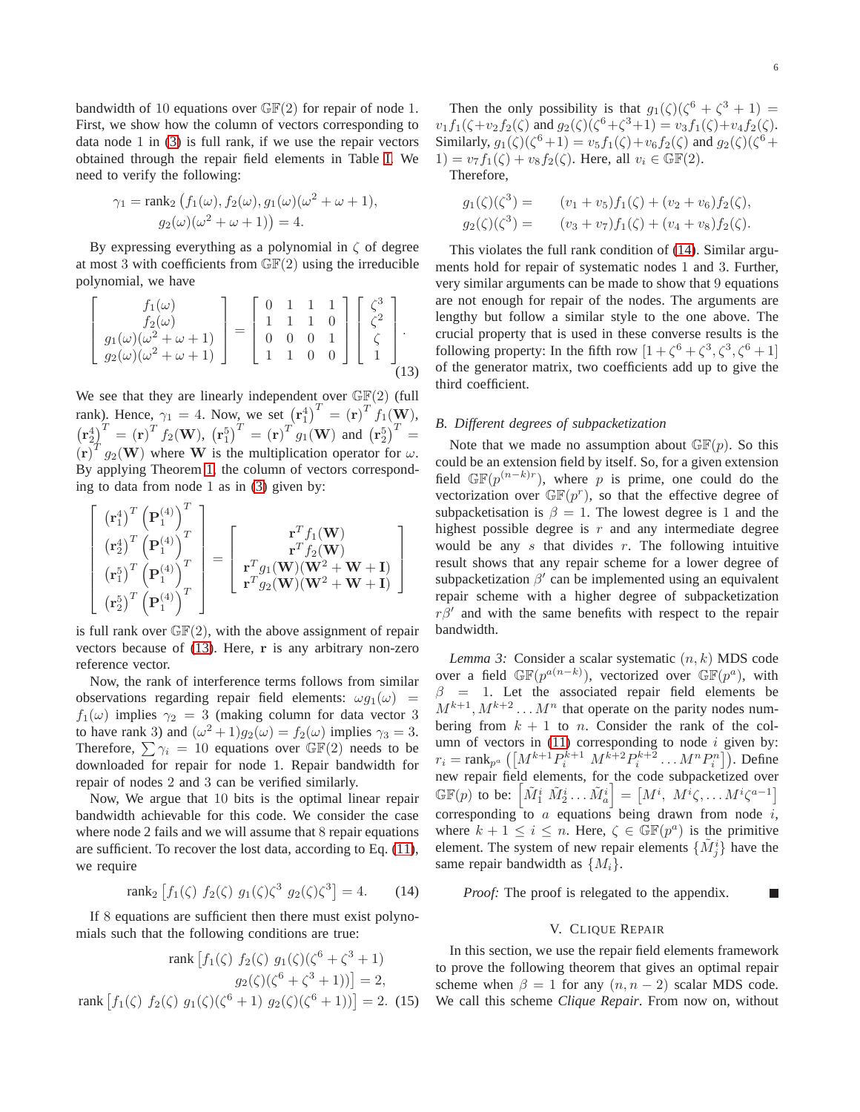bandwidth of 10 equations over  $\mathbb{GF}(2)$  for repair of node 1. First, we show how the column of vectors corresponding to data node 1 in [\(3\)](#page-2-3) is full rank, if we use the repair vectors obtained through the repair field elements in Table [I.](#page-4-0) We need to verify the following:

$$
\gamma_1 = \operatorname{rank}_2 \left( f_1(\omega), f_2(\omega), g_1(\omega) (\omega^2 + \omega + 1), \right)
$$

$$
g_2(\omega) (\omega^2 + \omega + 1) = 4.
$$

By expressing everything as a polynomial in  $\zeta$  of degree at most 3 with coefficients from  $\mathbb{GF}(2)$  using the irreducible polynomial, we have

$$
\begin{bmatrix} f_1(\omega) \\ f_2(\omega) \\ g_1(\omega)(\omega^2 + \omega + 1) \\ g_2(\omega)(\omega^2 + \omega + 1) \end{bmatrix} = \begin{bmatrix} 0 & 1 & 1 & 1 \\ 1 & 1 & 1 & 0 \\ 0 & 0 & 0 & 1 \\ 1 & 1 & 0 & 0 \end{bmatrix} \begin{bmatrix} \zeta^3 \\ \zeta^2 \\ \zeta \\ 1 \end{bmatrix}.
$$
\n(13)

We see that they are linearly independent over  $\mathbb{GF}(2)$  (full rank). Hence,  $\gamma_1 = 4$ . Now, we set  $(\mathbf{r}_1^4)^T = (\mathbf{r})^T f_1(\mathbf{W})$ ,  ${(\mathbf{r}_2^4)}^T = {(\mathbf{r})}^T f_2(\mathbf{W}), {(\mathbf{r}_1^5)}^T = {(\mathbf{r})}^T g_1(\mathbf{W})$  and  ${(\mathbf{r}_2^5)}^T =$  $(\mathbf{r})^T g_2(\mathbf{W})$  where W is the multiplication operator for  $\omega$ . By applying Theorem [1,](#page-4-1) the column of vectors corresponding to data from node 1 as in [\(3\)](#page-2-3) given by:

$$
\begin{bmatrix}\n(\mathbf{r}_{1}^{4})^{T} (\mathbf{P}_{1}^{(4)})^{T} \\
(\mathbf{r}_{2}^{4})^{T} (\mathbf{P}_{1}^{(4)})^{T} \\
(\mathbf{r}_{1}^{5})^{T} (\mathbf{P}_{1}^{(4)})^{T} \\
(\mathbf{r}_{2}^{5})^{T} (\mathbf{P}_{1}^{(4)})^{T}\n\end{bmatrix} = \begin{bmatrix}\n\mathbf{r}^{T} f_{1}(\mathbf{W}) \\
\mathbf{r}^{T} g_{2}(\mathbf{W})(\mathbf{W}^{2} + \mathbf{W} + \mathbf{I}) \\
\mathbf{r}^{T} g_{2}(\mathbf{W})(\mathbf{W}^{2} + \mathbf{W} + \mathbf{I})\n\end{bmatrix}
$$

is full rank over  $\mathbb{GF}(2)$ , with the above assignment of repair vectors because of [\(13\)](#page-5-0). Here, r is any arbitrary non-zero reference vector.

Now, the rank of interference terms follows from similar observations regarding repair field elements:  $\omega g_1(\omega)$  =  $f_1(\omega)$  implies  $\gamma_2 = 3$  (making column for data vector 3 to have rank 3) and  $(\omega^2 + 1)g_2(\omega) = f_2(\omega)$  implies  $\gamma_3 = 3$ . Therefore,  $\sum \gamma_i = 10$  equations over  $\mathbb{GF}(2)$  needs to be downloaded for repair for node 1. Repair bandwidth for repair of nodes 2 and 3 can be verified similarly.

Now, We argue that 10 bits is the optimal linear repair bandwidth achievable for this code. We consider the case where node 2 fails and we will assume that 8 repair equations are sufficient. To recover the lost data, according to Eq. [\(11\)](#page-4-2), we require

<span id="page-5-1"></span>
$$
rank_2 \left[ f_1(\zeta) \ f_2(\zeta) \ g_1(\zeta) \zeta^3 \ g_2(\zeta) \zeta^3 \right] = 4. \tag{14}
$$

If 8 equations are sufficient then there must exist polynomials such that the following conditions are true:

rank 
$$
[f_1(\zeta) f_2(\zeta) g_1(\zeta)(\zeta^6 + \zeta^3 + 1)
$$
  
\n $g_2(\zeta)(\zeta^6 + \zeta^3 + 1))] = 2$ ,  
\nrank  $[f_1(\zeta) f_2(\zeta) g_1(\zeta)(\zeta^6 + 1) g_2(\zeta)(\zeta^6 + 1))] = 2.$  (15)

Then the only possibility is that  $g_1(\zeta)(\zeta^6 + \zeta^3 + 1) =$  $v_1 f_1(\zeta + v_2 f_2(\zeta) \text{ and } g_2(\zeta)(\zeta^6 + \zeta^3 + 1) = v_3 f_1(\zeta) + v_4 f_2(\zeta).$ Similarly,  $g_1(\zeta)(\zeta^6 + 1) = v_5 f_1(\zeta) + v_6 f_2(\zeta)$  and  $g_2(\zeta)(\zeta^6 +$  $1) = v_7f_1(\zeta) + v_8f_2(\zeta)$ . Here, all  $v_i \in \mathbb{GF}(2)$ .

Therefore,

$$
g_1(\zeta)(\zeta^3) = (v_1 + v_5) f_1(\zeta) + (v_2 + v_6) f_2(\zeta),
$$
  
\n
$$
g_2(\zeta)(\zeta^3) = (v_3 + v_7) f_1(\zeta) + (v_4 + v_8) f_2(\zeta).
$$

This violates the full rank condition of [\(14\)](#page-5-1). Similar arguments hold for repair of systematic nodes 1 and 3. Further, very similar arguments can be made to show that 9 equations are not enough for repair of the nodes. The arguments are lengthy but follow a similar style to the one above. The crucial property that is used in these converse results is the following property: In the fifth row  $[1 + \zeta^6 + \zeta^3, \zeta^3, \zeta^6 + 1]$ of the generator matrix, two coefficients add up to give the third coefficient.

# <span id="page-5-0"></span>*B. Different degrees of subpacketization*

Note that we made no assumption about  $\mathbb{GF}(p)$ . So this could be an extension field by itself. So, for a given extension field  $\mathbb{GF}(p^{(n-k)r})$ , where p is prime, one could do the vectorization over  $\mathbb{GF}(p^r)$ , so that the effective degree of subpacketisation is  $\beta = 1$ . The lowest degree is 1 and the highest possible degree is  $r$  and any intermediate degree would be any  $s$  that divides  $r$ . The following intuitive result shows that any repair scheme for a lower degree of subpacketization  $\beta'$  can be implemented using an equivalent repair scheme with a higher degree of subpacketization  $r\beta'$  and with the same benefits with respect to the repair bandwidth.

<span id="page-5-3"></span>*Lemma 3:* Consider a scalar systematic (n, k) MDS code over a field  $\mathbb{GF}(p^{a(n-k)})$ , vectorized over  $\mathbb{GF}(p^a)$ , with  $\beta$  = 1. Let the associated repair field elements be  $M^{k+1}, M^{k+2} \dots M^n$  that operate on the parity nodes numbering from  $k + 1$  to n. Consider the rank of the column of vectors in  $(11)$  corresponding to node *i* given by:  $r_i = \text{rank}_{p^a} ([M^{k+1}P_i^{k+1} M^{k+2}P_i^{k+2} \dots M^n P_i^n])$ . Define new repair field elements, for the code subpacketized over  $\mathbb{GF}(p)$  to be:  $\left[ \tilde{M}_1^i \; \tilde{M}_2^i \ldots \tilde{M}_a^i \right] = \left[ M^i, \; M^i \zeta, \ldots M^i \zeta^{a-1} \right]$ corresponding to  $\alpha$  equations being drawn from node  $i$ , where  $k + 1 \leq i \leq n$ . Here,  $\zeta \in \mathbb{GF}(p^a)$  is the primitive element. The system of new repair elements  $\{\tilde{M}^i_j\}$  have the same repair bandwidth as  $\{M_i\}$ .

<span id="page-5-2"></span>*Proof:* The proof is relegated to the appendix.

#### V. CLIQUE REPAIR

In this section, we use the repair field elements framework to prove the following theorem that gives an optimal repair scheme when  $\beta = 1$  for any  $(n, n - 2)$  scalar MDS code. We call this scheme *Clique Repair*. From now on, without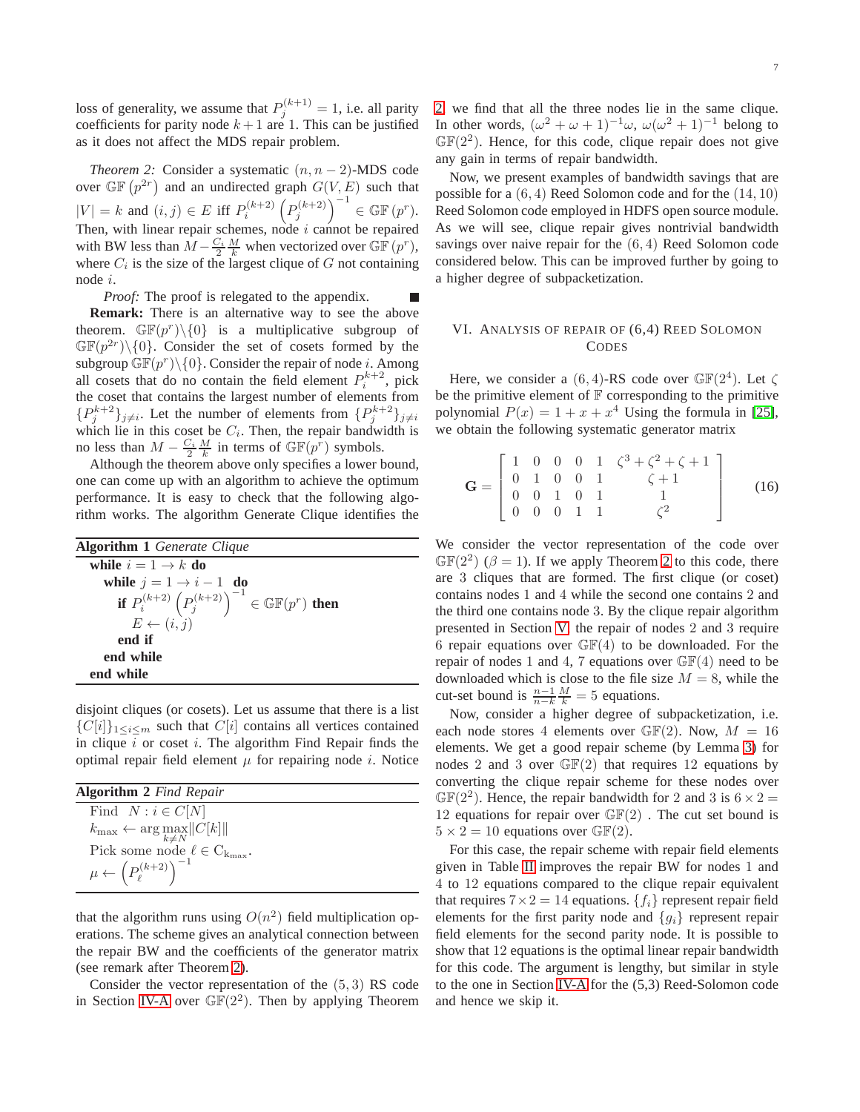loss of generality, we assume that  $P_j^{(k+1)} = 1$ , i.e. all parity coefficients for parity node  $k + 1$  are 1. This can be justified as it does not affect the MDS repair problem.

*Theorem 2:* Consider a systematic  $(n, n - 2)$ -MDS code over  $\mathbb{GF}(p^{2r})$  and an undirected graph  $G(V, E)$  such that  $|V| = k$  and  $(i, j) \in E$  iff  $P_i^{(k+2)} (P_j^{(k+2)})^{-1} \in \mathbb{GF}(p^r)$ . Then, with linear repair schemes, node  $i$  cannot be repaired with BW less than  $\overline{M} - \frac{C_i}{2} \frac{M}{k}$  when vectorized over  $\overline{\mathbb{GF}}(p^r)$ , where  $C_i$  is the size of the largest clique of  $G$  not containing node i.

*Proof:* The proof is relegated to the appendix. Г **Remark:** There is an alternative way to see the above theorem.  $\mathbb{GF}(p^r)\setminus\{0\}$  is a multiplicative subgroup of  $\mathbb{GF}(p^{2r})\backslash\{0\}$ . Consider the set of cosets formed by the subgroup  $\mathbb{GF}(p^r)\setminus\{0\}$ . Consider the repair of node *i*. Among all cosets that do no contain the field element  $P_i^{k+2}$ , pick the coset that contains the largest number of elements from  ${P_j^{k+2}}_{j \neq i}$ . Let the number of elements from  ${P_j^{k+2}}_{j \neq i}$ which lie in this coset be  $C_i$ . Then, the repair bandwidth is no less than  $M - \frac{C_i}{2} \frac{M}{k}$  in terms of  $\mathbb{GF}(p^r)$  symbols.

Although the theorem above only specifies a lower bound, one can come up with an algorithm to achieve the optimum performance. It is easy to check that the following algorithm works. The algorithm Generate Clique identifies the

| <b>Algorithm 1</b> Generate Clique                                   |  |
|----------------------------------------------------------------------|--|
| while $i = 1 \rightarrow k$ do                                       |  |
| while $j = 1 \rightarrow i - 1$ do                                   |  |
| <b>if</b> $P_i^{(k+2)} (P_j^{(k+2)})^{-1} \in \mathbb{GF}(p^r)$ then |  |
| $E \leftarrow (i, j)$                                                |  |
| end if                                                               |  |
| end while                                                            |  |
| end while                                                            |  |

disjoint cliques (or cosets). Let us assume that there is a list  ${C[i]}_{1\leq i\leq m}$  such that  $C[i]$  contains all vertices contained in clique  $i$  or coset  $i$ . The algorithm Find Repair finds the optimal repair field element  $\mu$  for repairing node *i*. Notice

| <b>Algorithm 2</b> Find Repair                      |  |
|-----------------------------------------------------|--|
| Find $N : i \in C[N]$                               |  |
| $k_{\max} \leftarrow \arg \max_{k \neq N}   C[k]  $ |  |
| Pick some node $\ell \in C_{k_{\text{max}}}$ .      |  |
| $\mu \leftarrow \left( P_\ell^{(k+2)} \right)^{-1}$ |  |

that the algorithm runs using  $O(n^2)$  field multiplication operations. The scheme gives an analytical connection between the repair BW and the coefficients of the generator matrix (see remark after Theorem [2\)](#page-6-0).

Consider the vector representation of the  $(5, 3)$  RS code in Section [IV-A](#page-4-3) over  $\mathbb{GF}(2^2)$ . Then by applying Theorem

<span id="page-6-0"></span>[2,](#page-6-0) we find that all the three nodes lie in the same clique. In other words,  $(\omega^2 + \omega + 1)^{-1}\omega$ ,  $\omega(\omega^2 + 1)^{-1}$  belong to  $\mathbb{GF}(2^2)$ . Hence, for this code, clique repair does not give any gain in terms of repair bandwidth.

Now, we present examples of bandwidth savings that are possible for a (6, 4) Reed Solomon code and for the (14, 10) Reed Solomon code employed in HDFS open source module. As we will see, clique repair gives nontrivial bandwidth savings over naive repair for the (6, 4) Reed Solomon code considered below. This can be improved further by going to a higher degree of subpacketization.

# VI. ANALYSIS OF REPAIR OF (6,4) REED SOLOMON **CODES**

Here, we consider a  $(6, 4)$ -RS code over  $\mathbb{GF}(2^4)$ . Let  $\zeta$ be the primitive element of  $\mathbb F$  corresponding to the primitive polynomial  $P(x) = 1 + x + x^4$  Using the formula in [\[25\]](#page-8-21), we obtain the following systematic generator matrix

$$
\mathbf{G} = \begin{bmatrix} 1 & 0 & 0 & 0 & 1 & \zeta^3 + \zeta^2 + \zeta + 1 \\ 0 & 1 & 0 & 0 & 1 & \zeta + 1 \\ 0 & 0 & 1 & 0 & 1 & 1 \\ 0 & 0 & 0 & 1 & 1 & \zeta^2 \end{bmatrix}
$$
 (16)

We consider the vector representation of the code over  $\mathbb{GF}(2^2)$  ( $\beta = 1$ ). If we apply Theorem [2](#page-6-0) to this code, there are 3 cliques that are formed. The first clique (or coset) contains nodes 1 and 4 while the second one contains 2 and the third one contains node 3. By the clique repair algorithm presented in Section [V,](#page-5-2) the repair of nodes 2 and 3 require 6 repair equations over  $\mathbb{GF}(4)$  to be downloaded. For the repair of nodes 1 and 4, 7 equations over  $\mathbb{GF}(4)$  need to be downloaded which is close to the file size  $M = 8$ , while the cut-set bound is  $\frac{n-1}{n-k} \frac{M}{k} = 5$  equations.

Now, consider a higher degree of subpacketization, i.e. each node stores 4 elements over  $\mathbb{GF}(2)$ . Now,  $M = 16$ elements. We get a good repair scheme (by Lemma [3\)](#page-5-3) for nodes 2 and 3 over  $\mathbb{GF}(2)$  that requires 12 equations by converting the clique repair scheme for these nodes over  $\mathbb{GF}(2^2)$ . Hence, the repair bandwidth for 2 and 3 is  $6 \times 2 =$ 12 equations for repair over  $\mathbb{GF}(2)$ . The cut set bound is  $5 \times 2 = 10$  equations over  $\mathbb{GF}(2)$ .

For this case, the repair scheme with repair field elements given in Table [II](#page-7-2) improves the repair BW for nodes 1 and 4 to 12 equations compared to the clique repair equivalent that requires  $7 \times 2 = 14$  equations.  $\{f_i\}$  represent repair field elements for the first parity node and  ${g_i}$  represent repair field elements for the second parity node. It is possible to show that 12 equations is the optimal linear repair bandwidth for this code. The argument is lengthy, but similar in style to the one in Section [IV-A](#page-4-3) for the (5,3) Reed-Solomon code and hence we skip it.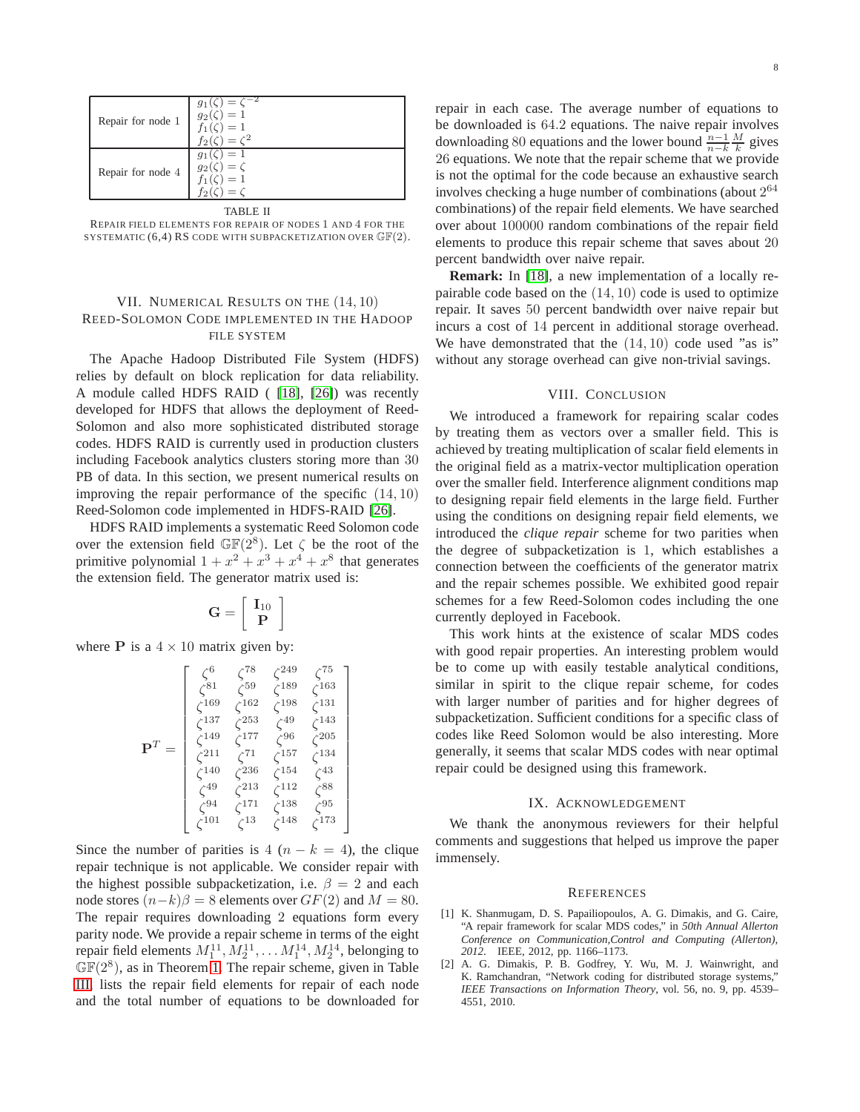| Repair for node 1        | $=$ $\circ$<br>$g_1(\zeta)$<br>$g_2(\zeta)=1$<br>$f_1(\zeta) = 1$<br>$f_2(\zeta) = \zeta^2$ |  |
|--------------------------|---------------------------------------------------------------------------------------------|--|
| Repair for node 4        | $=1$<br>$g_2(\zeta)=\zeta$<br>$f_1(\zeta)=1$<br>$=$ $\zeta$                                 |  |
| <b>TADI</b><br><b>DI</b> |                                                                                             |  |

<span id="page-7-2"></span>

| TABLE II                                                                 |  |
|--------------------------------------------------------------------------|--|
| REPAIR FIELD ELEMENTS FOR REPAIR OF NODES 1 AND 4 FOR THE                |  |
| SYSTEMATIC $(6,4)$ RS CODE WITH SUBPACKETIZATION OVER $\mathbb{GF}(2)$ . |  |

# VII. NUMERICAL RESULTS ON THE  $(14, 10)$ REED-SOLOMON CODE IMPLEMENTED IN THE HADOOP FILE SYSTEM

The Apache Hadoop Distributed File System (HDFS) relies by default on block replication for data reliability. A module called HDFS RAID ( [\[18\]](#page-8-5), [\[26\]](#page-8-22)) was recently developed for HDFS that allows the deployment of Reed-Solomon and also more sophisticated distributed storage codes. HDFS RAID is currently used in production clusters including Facebook analytics clusters storing more than 30 PB of data. In this section, we present numerical results on improving the repair performance of the specific (14, 10) Reed-Solomon code implemented in HDFS-RAID [\[26\]](#page-8-22).

HDFS RAID implements a systematic Reed Solomon code over the extension field  $\mathbb{GF}(2^8)$ . Let  $\zeta$  be the root of the primitive polynomial  $1 + x^2 + x^3 + x^4 + x^8$  that generates the extension field. The generator matrix used is:

$$
\mathbf{G} = \left[ \begin{array}{c} \mathbf{I}_{10} \\ \mathbf{P} \end{array} \right]
$$

where **P** is a  $4 \times 10$  matrix given by:

$$
\mathbf{P}^{T} = \begin{bmatrix} \zeta^{6} & \zeta^{78} & \zeta^{249} & \zeta^{75} \\ \zeta^{81} & \zeta^{59} & \zeta^{189} & \zeta^{163} \\ \zeta^{169} & \zeta^{162} & \zeta^{198} & \zeta^{131} \\ \zeta^{137} & \zeta^{253} & \zeta^{49} & \zeta^{143} \\ \zeta^{149} & \zeta^{177} & \zeta^{96} & \zeta^{205} \\ \zeta^{211} & \zeta^{71} & \zeta^{157} & \zeta^{134} \\ \zeta^{140} & \zeta^{236} & \zeta^{154} & \zeta^{43} \\ \zeta^{49} & \zeta^{213} & \zeta^{112} & \zeta^{88} \\ \zeta^{94} & \zeta^{171} & \zeta^{138} & \zeta^{95} \\ \zeta^{101} & \zeta^{13} & \zeta^{148} & \zeta^{173} \end{bmatrix}
$$

Since the number of parities is 4  $(n - k = 4)$ , the clique repair technique is not applicable. We consider repair with the highest possible subpacketization, i.e.  $\beta = 2$  and each node stores  $(n-k)\beta = 8$  elements over  $GF(2)$  and  $M = 80$ . The repair requires downloading 2 equations form every parity node. We provide a repair scheme in terms of the eight repair field elements  $M_1^{11}, M_2^{11}, \ldots M_1^{14}, M_2^{14}$ , belonging to  $\mathbb{GF}(2^8)$ , as in Theorem [1.](#page-4-1) The repair scheme, given in Table [III,](#page-8-23) lists the repair field elements for repair of each node and the total number of equations to be downloaded for

repair in each case. The average number of equations to be downloaded is 64.2 equations. The naive repair involves downloading 80 equations and the lower bound  $\frac{n-1}{n-k} \frac{M}{k}$  gives 26 equations. We note that the repair scheme that we provide is not the optimal for the code because an exhaustive search involves checking a huge number of combinations (about  $2^{64}$ combinations) of the repair field elements. We have searched over about 100000 random combinations of the repair field elements to produce this repair scheme that saves about 20 percent bandwidth over naive repair.

**Remark:** In [\[18\]](#page-8-5), a new implementation of a locally repairable code based on the (14, 10) code is used to optimize repair. It saves 50 percent bandwidth over naive repair but incurs a cost of 14 percent in additional storage overhead. We have demonstrated that the  $(14, 10)$  code used "as is" without any storage overhead can give non-trivial savings.

## VIII. CONCLUSION

We introduced a framework for repairing scalar codes by treating them as vectors over a smaller field. This is achieved by treating multiplication of scalar field elements in the original field as a matrix-vector multiplication operation over the smaller field. Interference alignment conditions map to designing repair field elements in the large field. Further using the conditions on designing repair field elements, we introduced the *clique repair* scheme for two parities when the degree of subpacketization is 1, which establishes a connection between the coefficients of the generator matrix and the repair schemes possible. We exhibited good repair schemes for a few Reed-Solomon codes including the one currently deployed in Facebook.

This work hints at the existence of scalar MDS codes with good repair properties. An interesting problem would be to come up with easily testable analytical conditions, similar in spirit to the clique repair scheme, for codes with larger number of parities and for higher degrees of subpacketization. Sufficient conditions for a specific class of codes like Reed Solomon would be also interesting. More generally, it seems that scalar MDS codes with near optimal repair could be designed using this framework.

#### IX. ACKNOWLEDGEMENT

We thank the anonymous reviewers for their helpful comments and suggestions that helped us improve the paper immensely.

#### **REFERENCES**

- <span id="page-7-0"></span>[1] K. Shanmugam, D. S. Papailiopoulos, A. G. Dimakis, and G. Caire, "A repair framework for scalar MDS codes," in *50th Annual Allerton Conference on Communication,Control and Computing (Allerton), 2012*. IEEE, 2012, pp. 1166–1173.
- <span id="page-7-1"></span>[2] A. G. Dimakis, P. B. Godfrey, Y. Wu, M. J. Wainwright, and K. Ramchandran, "Network coding for distributed storage systems," *IEEE Transactions on Information Theory*, vol. 56, no. 9, pp. 4539– 4551, 2010.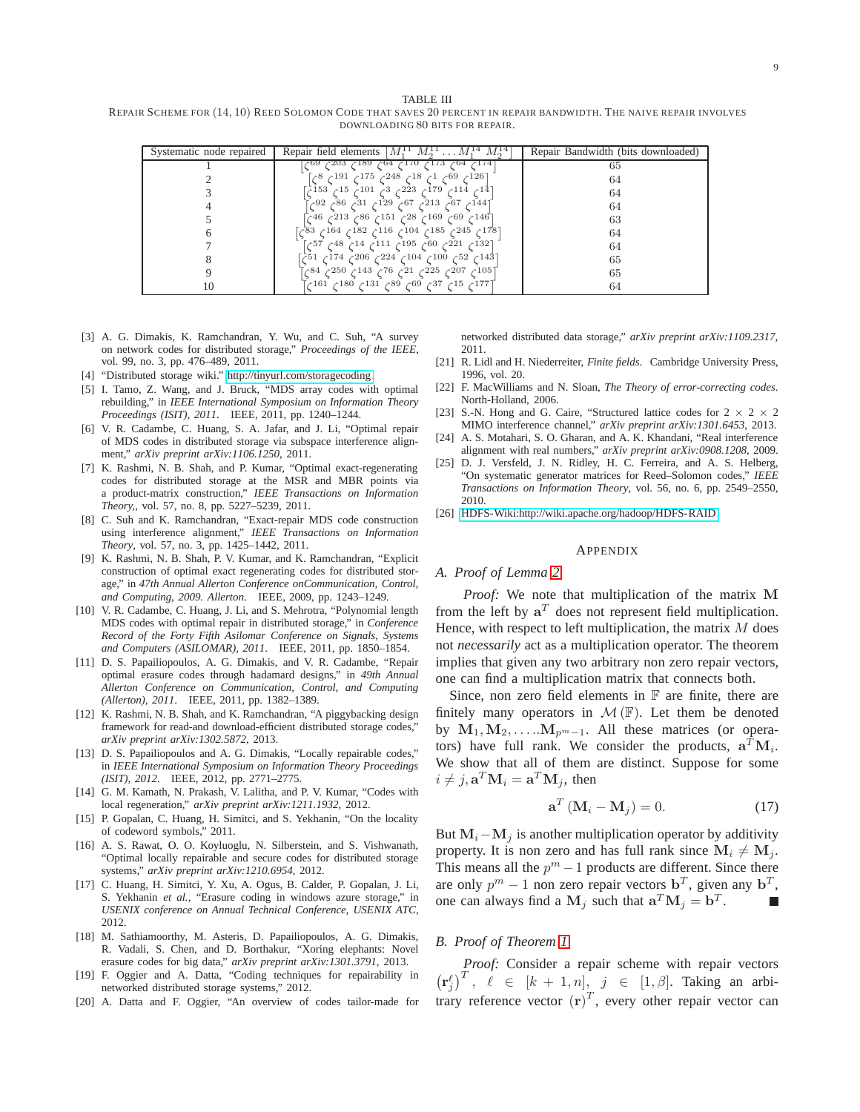<span id="page-8-23"></span>TABLE III REPAIR SCHEME FOR (14, 10) REED SOLOMON CODE THAT SAVES 20 PERCENT IN REPAIR BANDWIDTH. THE NAIVE REPAIR INVOLVES DOWNLOADING 80 BITS FOR REPAIR.

| Systematic node repaired | Repair field elements $ M_1^{\perp 1} M_2^{\perp 1} \dots M_1^{\perp 4} M_2^{\perp 4} $ | Repair Bandwidth (bits downloaded) |
|--------------------------|-----------------------------------------------------------------------------------------|------------------------------------|
|                          | 04ح 173ج 170ح 64ح 189ح 203⊹                                                             | 65                                 |
|                          | -69ح 1ح 18ح 248ح 175ح 198ح 8ح]<br>$\sim$ 126]                                           | 64                                 |
|                          | [14ع 114ع 179ع 223ع 3ج 101ع 155ع 153ع]                                                  | 64                                 |
|                          | 1447ع 67ع 213ع 67ع 129ع 31ع 86ع 92ع]                                                    | 64                                 |
|                          | [146ح 69ح 169ح 28ح 151ح 86ح 213ح 46ح]                                                   | 63                                 |
|                          | [178ع 245ع 185ع 104ع 186ع 188ع 83ع 83                                                   | 64                                 |
|                          | [132ع 221ع 60ح 195ع 111ع 14ع 48ح 57ح]                                                   | 64                                 |
|                          | [143ع 52ح 100ح 104ح 224ح 206ح 174ح 51ح]                                                 | 65                                 |
|                          | ∏105ح 207ح 225ح 21ح 76ح 143ح 84ح                                                        | 65                                 |
|                          | 177 <sub>1</sub> م 15م 37م 69م 89م 131م 180م 161م)                                      | 64                                 |

- <span id="page-8-6"></span>[3] A. G. Dimakis, K. Ramchandran, Y. Wu, and C. Suh, "A survey on network codes for distributed storage," *Proceedings of the IEEE*, vol. 99, no. 3, pp. 476–489, 2011.
- <span id="page-8-9"></span>[4] "Distributed storage wiki." [http://tinyurl.com/storagecoding.](http://tinyurl.com/storagecoding)
- [5] I. Tamo, Z. Wang, and J. Bruck, "MDS array codes with optimal rebuilding," in *IEEE International Symposium on Information Theory Proceedings (ISIT), 2011*. IEEE, 2011, pp. 1240–1244.
- <span id="page-8-10"></span>[6] V. R. Cadambe, C. Huang, S. A. Jafar, and J. Li, "Optimal repair of MDS codes in distributed storage via subspace interference alignment," *arXiv preprint arXiv:1106.1250*, 2011.
- <span id="page-8-8"></span>[7] K. Rashmi, N. B. Shah, and P. Kumar, "Optimal exact-regenerating codes for distributed storage at the MSR and MBR points via a product-matrix construction," *IEEE Transactions on Information Theory,*, vol. 57, no. 8, pp. 5227–5239, 2011.
- <span id="page-8-11"></span>[8] C. Suh and K. Ramchandran, "Exact-repair MDS code construction using interference alignment," *IEEE Transactions on Information Theory*, vol. 57, no. 3, pp. 1425–1442, 2011.
- <span id="page-8-12"></span>[9] K. Rashmi, N. B. Shah, P. V. Kumar, and K. Ramchandran, "Explicit construction of optimal exact regenerating codes for distributed storage," in *47th Annual Allerton Conference onCommunication, Control, and Computing, 2009. Allerton*. IEEE, 2009, pp. 1243–1249.
- <span id="page-8-14"></span>[10] V. R. Cadambe, C. Huang, J. Li, and S. Mehrotra, "Polynomial length MDS codes with optimal repair in distributed storage," in *Conference Record of the Forty Fifth Asilomar Conference on Signals, Systems and Computers (ASILOMAR), 2011*. IEEE, 2011, pp. 1850–1854.
- <span id="page-8-13"></span>[11] D. S. Papailiopoulos, A. G. Dimakis, and V. R. Cadambe, "Repair optimal erasure codes through hadamard designs," in *49th Annual Allerton Conference on Communication, Control, and Computing (Allerton), 2011*. IEEE, 2011, pp. 1382–1389.
- <span id="page-8-7"></span>[12] K. Rashmi, N. B. Shah, and K. Ramchandran, "A piggybacking design framework for read-and download-efficient distributed storage codes," *arXiv preprint arXiv:1302.5872*, 2013.
- <span id="page-8-0"></span>[13] D. S. Papailiopoulos and A. G. Dimakis, "Locally repairable codes," in *IEEE International Symposium on Information Theory Proceedings (ISIT), 2012*. IEEE, 2012, pp. 2771–2775.
- <span id="page-8-1"></span>[14] G. M. Kamath, N. Prakash, V. Lalitha, and P. V. Kumar, "Codes with local regeneration," *arXiv preprint arXiv:1211.1932*, 2012.
- <span id="page-8-2"></span>[15] P. Gopalan, C. Huang, H. Simitci, and S. Yekhanin, "On the locality of codeword symbols," 2011.
- <span id="page-8-3"></span>[16] A. S. Rawat, O. O. Koyluoglu, N. Silberstein, and S. Vishwanath, "Optimal locally repairable and secure codes for distributed storage systems," *arXiv preprint arXiv:1210.6954*, 2012.
- <span id="page-8-4"></span>[17] C. Huang, H. Simitci, Y. Xu, A. Ogus, B. Calder, P. Gopalan, J. Li, S. Yekhanin et al., "Erasure coding in windows azure storage," in *USENIX conference on Annual Technical Conference, USENIX ATC*, 2012.
- <span id="page-8-5"></span>[18] M. Sathiamoorthy, M. Asteris, D. Papailiopoulos, A. G. Dimakis, R. Vadali, S. Chen, and D. Borthakur, "Xoring elephants: Novel erasure codes for big data," *arXiv preprint arXiv:1301.3791*, 2013.
- <span id="page-8-15"></span>[19] F. Oggier and A. Datta, "Coding techniques for repairability in networked distributed storage systems," 2012.
- <span id="page-8-16"></span>[20] A. Datta and F. Oggier, "An overview of codes tailor-made for

networked distributed data storage," *arXiv preprint arXiv:1109.2317*, 2011.

- <span id="page-8-17"></span>[21] R. Lidl and H. Niederreiter, *Finite fields*. Cambridge University Press, 1996, vol. 20.
- <span id="page-8-18"></span>[22] F. MacWilliams and N. Sloan, *The Theory of error-correcting codes*. North-Holland, 2006.
- <span id="page-8-19"></span>[23] S.-N. Hong and G. Caire, "Structured lattice codes for  $2 \times 2 \times 2$ MIMO interference channel," *arXiv preprint arXiv:1301.6453*, 2013.
- <span id="page-8-20"></span>[24] A. S. Motahari, S. O. Gharan, and A. K. Khandani, "Real interference alignment with real numbers," *arXiv preprint arXiv:0908.1208*, 2009.
- <span id="page-8-21"></span>[25] D. J. Versfeld, J. N. Ridley, H. C. Ferreira, and A. S. Helberg, "On systematic generator matrices for Reed–Solomon codes," *IEEE Transactions on Information Theory*, vol. 56, no. 6, pp. 2549–2550, 2010.
- <span id="page-8-22"></span>[26] [HDFS-Wiki:http://wiki.apache.org/hadoop/HDFS-RAID.](HDFS-Wiki: http://wiki.apache.org/hadoop/HDFS-RAID)

#### APPENDIX

#### *A. Proof of Lemma [2](#page-3-1)*

*Proof:* We note that multiplication of the matrix M from the left by  $a^T$  does not represent field multiplication. Hence, with respect to left multiplication, the matrix  $M$  does not *necessarily* act as a multiplication operator. The theorem implies that given any two arbitrary non zero repair vectors, one can find a multiplication matrix that connects both.

Since, non zero field elements in  $F$  are finite, there are finitely many operators in  $\mathcal{M}(\mathbb{F})$ . Let them be denoted by  $M_1, M_2, \ldots, M_{p^m-1}$ . All these matrices (or operators) have full rank. We consider the products,  $\mathbf{a}^T \mathbf{M}_i$ . We show that all of them are distinct. Suppose for some  $i \neq j$ ,  $\mathbf{a}^T \mathbf{M}_i = \mathbf{a}^T \mathbf{M}_j$ , then

$$
\mathbf{a}^T \left( \mathbf{M}_i - \mathbf{M}_j \right) = 0. \tag{17}
$$

But  $M_i - M_j$  is another multiplication operator by additivity property. It is non zero and has full rank since  $M_i \neq M_j$ . This means all the  $p^m - 1$  products are different. Since there are only  $p^m - 1$  non zero repair vectors  $\mathbf{b}^T$ , given any  $\mathbf{b}^T$ , one can always find a  $M_j$  such that  $\mathbf{a}^T \mathbf{M}_j = \mathbf{b}^T$ .

# *B. Proof of Theorem [1](#page-4-1)*

*Proof:* Consider a repair scheme with repair vectors  $\left(\mathbf{r}_{j}^{\ell}\right)^{T}$ ,  $\ell \in [k+1, n], j \in [1, \beta]$ . Taking an arbitrary reference vector  $(r)^T$ , every other repair vector can